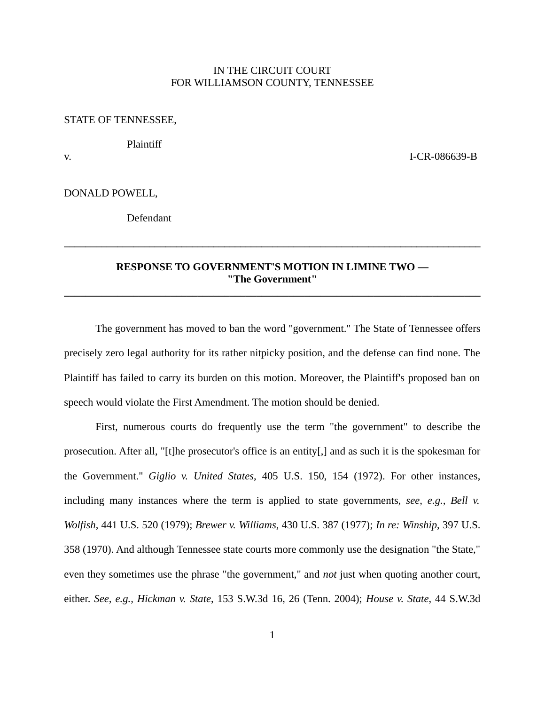## IN THE CIRCUIT COURT FOR WILLIAMSON COUNTY, TENNESSEE

## STATE OF TENNESSEE,

Plaintiff

v. I-CR-086639-B

DONALD POWELL,

Defendant

## **RESPONSE TO GOVERNMENT'S MOTION IN LIMINE TWO — "The Government" \_\_\_\_\_\_\_\_\_\_\_\_\_\_\_\_\_\_\_\_\_\_\_\_\_\_\_\_\_\_\_\_\_\_\_\_\_\_\_\_\_\_\_\_\_\_\_\_\_\_\_\_\_\_\_\_\_\_\_\_\_\_\_\_\_\_\_\_\_\_\_\_\_\_\_\_\_\_**

**\_\_\_\_\_\_\_\_\_\_\_\_\_\_\_\_\_\_\_\_\_\_\_\_\_\_\_\_\_\_\_\_\_\_\_\_\_\_\_\_\_\_\_\_\_\_\_\_\_\_\_\_\_\_\_\_\_\_\_\_\_\_\_\_\_\_\_\_\_\_\_\_\_\_\_\_\_\_**

The government has moved to ban the word "government." The State of Tennessee offers precisely zero legal authority for its rather nitpicky position, and the defense can find none. The Plaintiff has failed to carry its burden on this motion. Moreover, the Plaintiff's proposed ban on speech would violate the First Amendment. The motion should be denied.

First, numerous courts do frequently use the term "the government" to describe the prosecution. After all, "[t]he prosecutor's office is an entity[,] and as such it is the spokesman for the Government." *Giglio v. United States*, 405 U.S. 150, 154 (1972). For other instances, including many instances where the term is applied to state governments, *see, e.g., Bell v. Wolfish*, 441 U.S. 520 (1979); *Brewer v. Williams*, 430 U.S. 387 (1977); *In re: Winship*, 397 U.S. 358 (1970). And although Tennessee state courts more commonly use the designation "the State," even they sometimes use the phrase "the government," and *not* just when quoting another court, either. *See, e.g., Hickman v. State*, 153 S.W.3d 16, 26 (Tenn. 2004); *House v. State*, 44 S.W.3d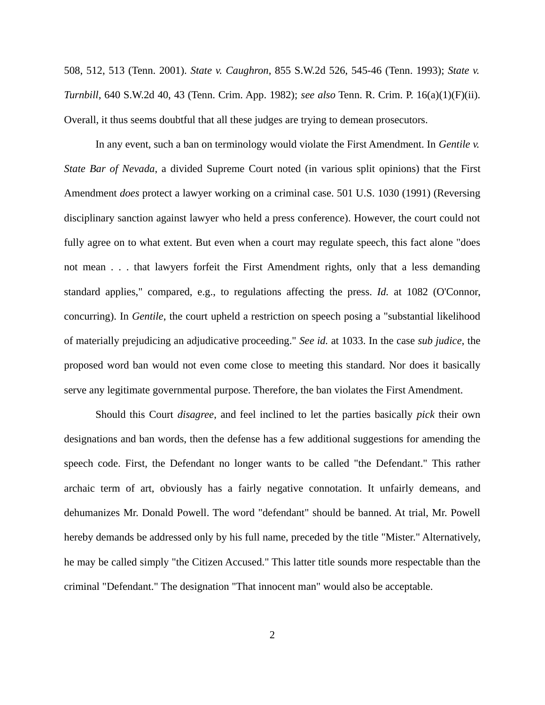508, 512, 513 (Tenn. 2001). *State v. Caughron*, 855 S.W.2d 526, 545-46 (Tenn. 1993); *State v. Turnbill*, 640 S.W.2d 40, 43 (Tenn. Crim. App. 1982); *see also* Tenn. R. Crim. P. 16(a)(1)(F)(ii). Overall, it thus seems doubtful that all these judges are trying to demean prosecutors.

In any event, such a ban on terminology would violate the First Amendment. In *Gentile v. State Bar of Nevada*, a divided Supreme Court noted (in various split opinions) that the First Amendment *does* protect a lawyer working on a criminal case. 501 U.S. 1030 (1991) (Reversing disciplinary sanction against lawyer who held a press conference). However, the court could not fully agree on to what extent. But even when a court may regulate speech, this fact alone "does not mean . . . that lawyers forfeit the First Amendment rights, only that a less demanding standard applies," compared, e.g., to regulations affecting the press. *Id.* at 1082 (O'Connor, concurring). In *Gentile*, the court upheld a restriction on speech posing a "substantial likelihood of materially prejudicing an adjudicative proceeding." *See id.* at 1033. In the case *sub judice*, the proposed word ban would not even come close to meeting this standard. Nor does it basically serve any legitimate governmental purpose. Therefore, the ban violates the First Amendment.

Should this Court *disagree*, and feel inclined to let the parties basically *pick* their own designations and ban words, then the defense has a few additional suggestions for amending the speech code. First, the Defendant no longer wants to be called "the Defendant." This rather archaic term of art, obviously has a fairly negative connotation. It unfairly demeans, and dehumanizes Mr. Donald Powell. The word "defendant" should be banned. At trial, Mr. Powell hereby demands be addressed only by his full name, preceded by the title "Mister." Alternatively, he may be called simply "the Citizen Accused." This latter title sounds more respectable than the criminal "Defendant." The designation "That innocent man" would also be acceptable.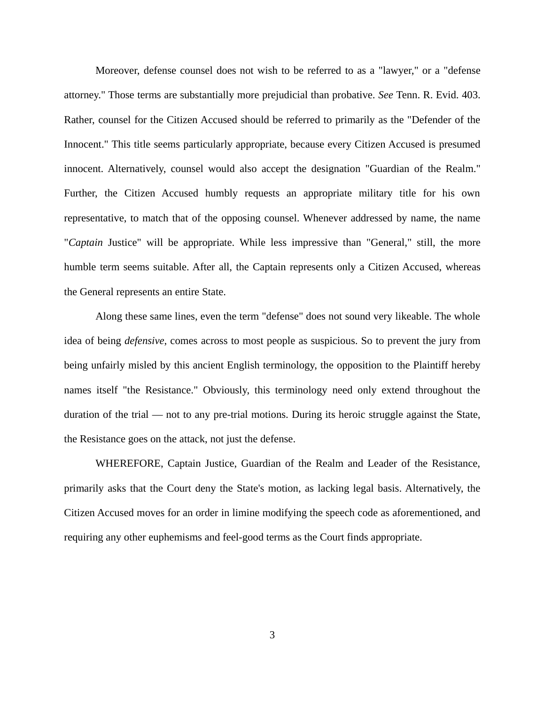Moreover, defense counsel does not wish to be referred to as a "lawyer," or a "defense attorney." Those terms are substantially more prejudicial than probative. *See* Tenn. R. Evid. 403. Rather, counsel for the Citizen Accused should be referred to primarily as the "Defender of the Innocent." This title seems particularly appropriate, because every Citizen Accused is presumed innocent. Alternatively, counsel would also accept the designation "Guardian of the Realm." Further, the Citizen Accused humbly requests an appropriate military title for his own representative, to match that of the opposing counsel. Whenever addressed by name, the name "*Captain* Justice" will be appropriate. While less impressive than "General," still, the more humble term seems suitable. After all, the Captain represents only a Citizen Accused, whereas the General represents an entire State.

Along these same lines, even the term "defense" does not sound very likeable. The whole idea of being *defensive*, comes across to most people as suspicious. So to prevent the jury from being unfairly misled by this ancient English terminology, the opposition to the Plaintiff hereby names itself "the Resistance." Obviously, this terminology need only extend throughout the duration of the trial — not to any pre-trial motions. During its heroic struggle against the State, the Resistance goes on the attack, not just the defense.

WHEREFORE, Captain Justice, Guardian of the Realm and Leader of the Resistance, primarily asks that the Court deny the State's motion, as lacking legal basis. Alternatively, the Citizen Accused moves for an order in limine modifying the speech code as aforementioned, and requiring any other euphemisms and feel-good terms as the Court finds appropriate.